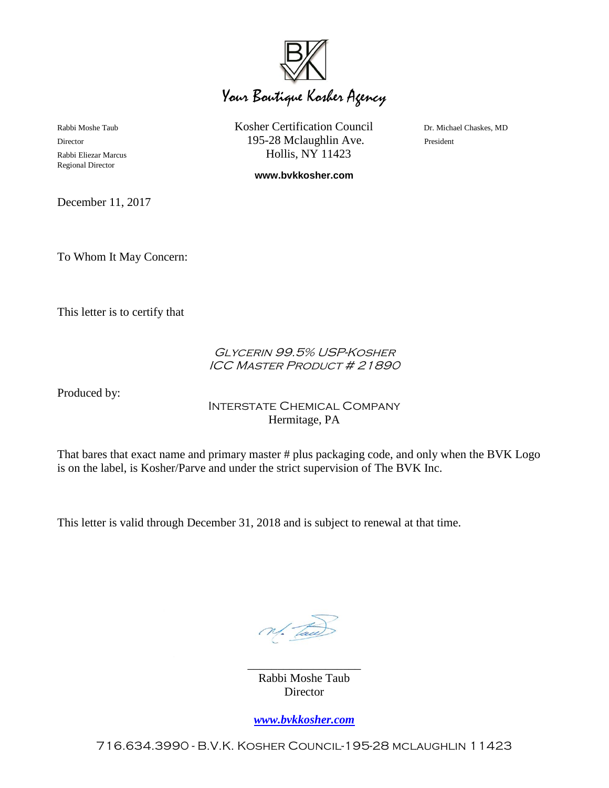

Rabbi Moshe Taub **Kosher Certification Council** Dr. Michael Chaskes, MD Director **195-28 Mclaughlin Ave.** President Rabbi Eliezar Marcus Hollis, NY 11423

**www.bvkkosher.com**

December 11, 2017

Regional Director

To Whom It May Concern:

This letter is to certify that

## Glycerin 99.5% USP-Kosher ICC Master Product # 21890

Produced by:

## Interstate Chemical Company Hermitage, PA

That bares that exact name and primary master # plus packaging code, and only when the BVK Logo is on the label, is Kosher/Parve and under the strict supervision of The BVK Inc.

This letter is valid through December 31, 2018 and is subject to renewal at that time.

N. Tac

\_\_\_\_\_\_\_\_\_\_\_\_\_\_\_\_\_\_\_ Rabbi Moshe Taub **Director** 

*[www.bvkkosher.com](http://www.bvkkosher.com/)*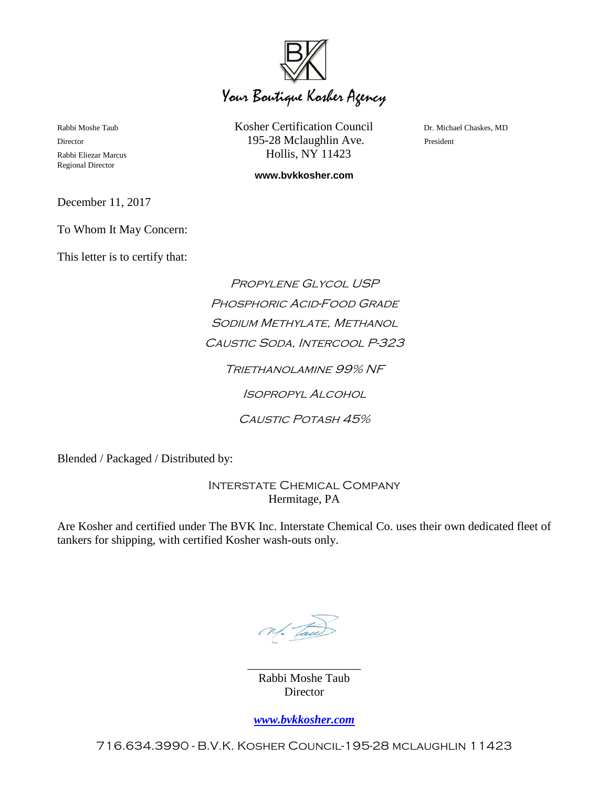

Regional Director

Rabbi Moshe Taub **Kosher Certification Council** Dr. Michael Chaskes, MD Director **195-28 Mclaughlin Ave.** President Rabbi Eliezar Marcus Hollis, NY 11423

**www.bvkkosher.com**

December 11, 2017

To Whom It May Concern:

This letter is to certify that:

Propylene Glycol USP Phosphoric Acid-Food Grade SODIUM METHYLATE, METHANOL Caustic Soda, Intercool P-323 Triethanolamine 99% NF Isopropyl Alcohol CAUSTIC POTASH 45%

Blended / Packaged / Distributed by:

Interstate Chemical Company Hermitage, PA

Are Kosher and certified under The BVK Inc. Interstate Chemical Co. uses their own dedicated fleet of tankers for shipping, with certified Kosher wash-outs only.

N. Tac

Rabbi Moshe Taub **Director** 

\_\_\_\_\_\_\_\_\_\_\_\_\_\_\_\_\_\_\_

*[www.bvkkosher.com](http://www.bvkkosher.com/)*

716.634.3990 - B.V.K. Kosher Council-195-28 mclaughlin 11423